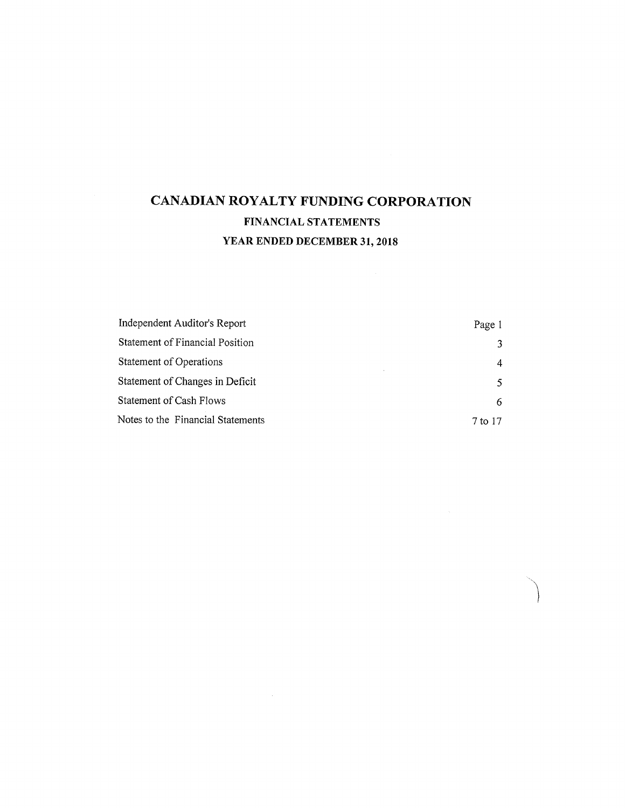## CANADIAN ROYALTY FUNDING CORPORATION FINANCIAL STATEMENTS YEAR ENDED DECEMBER 31, 2018

| Independent Auditor's Report           | Page 1  |
|----------------------------------------|---------|
| <b>Statement of Financial Position</b> |         |
| <b>Statement of Operations</b>         | 4       |
| Statement of Changes in Deficit        |         |
| <b>Statement of Cash Flows</b>         | 6       |
| Notes to the Financial Statements      | 7 to 17 |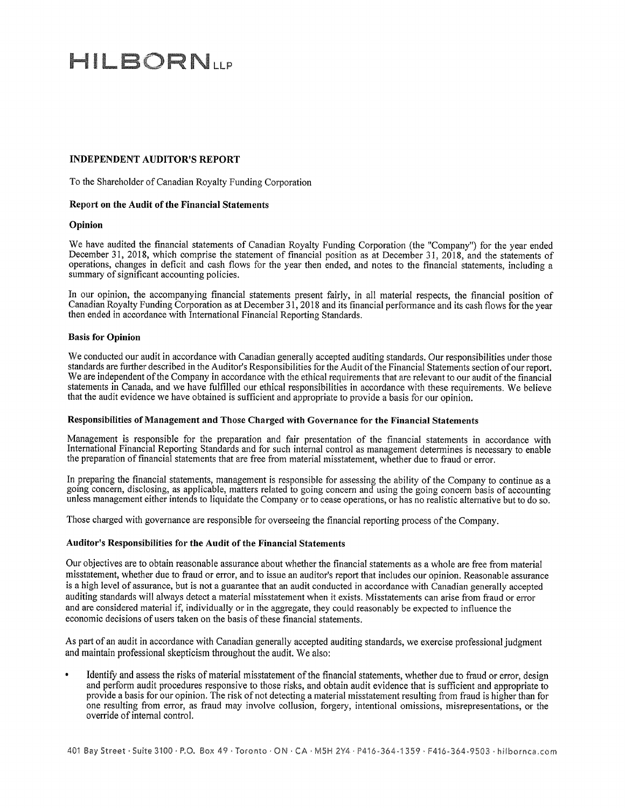## HILBORN...

#### INDEPENDENT AUDITOR'S REPORT

To the Shareholder of Canadian Royalty Funding Corporation

#### Report on the Audit of the Financial Statements

#### Opinion

We have audited the financial statements of Canadian Royalty Funding Corporation (the "Company") for the year ended December 31, 2018, which comprise the statement of financial position as at December 31, 2018, and the statements of operations, changes in deficit and cash flows for the year then ended, and notes to the financial statements, including a summary of significant accounting policies.

In our opinion, the accompanying financial statements present fairly, in all material respects, the financial position of Canadian Royalty Funding Corporation as at December 31, 2018 and its financial performance and its cash flows for the year then ended in accordance with International Financial Reporting Standards.

#### Basis for Opinion

We conducted our audit in accordance with Canadian generally accepted auditing standards. Our responsibilities under those standards are further described in the Auditor's Responsibilities for the Audit ofthe Financial Statements section ofour report. We are independent of the Company in accordance with the ethical requirements that are relevant to our audit of the financial statements in Canada, and we have fulfilled our ethical responsibilities in accordance with these requirements. We believe that the audit evidence we have obtained is sufficient and appropriate to provide a basis for our opinion.

#### Responsibilities of Management and Those Charged with Governance for the Financial Statements

Management is responsible for the preparation and fair presentation of the financial statements in accordance with International Financial Reporting Standards and for such internal control as management determines is necessary to enable the preparation offinancial statements that are free from material misstatement, whether due to fraud or error.

In preparing the financial statements, management is responsible for assessing the ability of the Company to continue as a going concern, disclosing, as applicable, matters related to going concern and using the going concern basis of accounting unless management either intends to liquidate the Company or to cease operations, or has no realistic alternative but to do so.

Those charged with governance are responsible for overseeing the financial reporting process ofthe Company.

#### Auditor's Responsibilities for the Audit of the Financial Statements

Our objectives are to obtain reasonable assurance about whether the financial statements as a whole are free from material misstatement, whether due to fraud or error, and to issue an auditor's report that includes our opinion. Reasonable assurance is <sup>a</sup> high level of assurance, but is not <sup>a</sup> guarantee that an audit conducted in accordance with Canadian generally accepted auditing standards will always detect <sup>a</sup> material misstatement when it exists. Misstatements can arise from fraud or error and are considered material if, individually or in the aggregate, they could reasonably be expected to influence the economic decisions of users taken on the basis of these financial statements.

As part of an audit in accordance with Canadian generally accepted auditing standards, we exercise professional judgment and maintain professional skepticism throughout the audit. We also:

Identify and assess the risks of material misstatement of the financial statements, whether due to fraud or error, design and perform audit procedures responsive to those risks, and obtain audit evidence that is sufficient and appropriate to provide <sup>a</sup> basis for our opinion. The risk of not detecting <sup>a</sup> material misstatement resulting from fraud is higher than for one resulting from error, as fraud may involve collusion, forgery, intentional omissions, misrepresentations, or the override of internal control.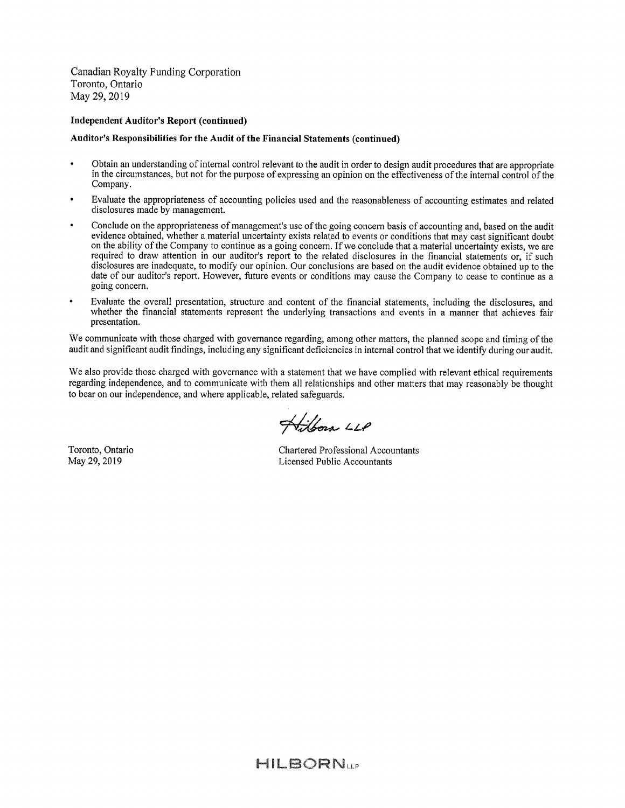Canadian Royalty Funding Corporation Toronto, Ontario May 29, 2019

#### Independent Auditor's Report (continued)

#### Auditor's Responsibilities for the Audit of the Financial Statements (continued)

- Obtain an understanding of internal control relevant to the audit in order to design audit procedures that are appropriate in the circumstances, but not for the purpose of expressing an opinion on the effectiveness of the internal control of the Company.
- Evaluate the appropriateness of accounting policies used and the reasonableness of accounting estimates and related disclosures made by management.
- Conclude on the appropriateness of management's use of the going concern basis of accounting and, based on the audit evidence obtained, whether a material uncertainty exists related to events or conditions that may cast significant doubt on the ability of the Company to continue as a going concern. If we conclude that a material uncertainty exists, we are required to draw attention in our auditor's report to the related disclosures in the financial statements or, if such disclosures are inadequate, to modify our opinion. Our conclusions are based on the audit evidence obtained up to the date of our auditor's report. However, future events or conditions may cause the Company to cease to continue as <sup>a</sup> going concern.
- Evaluate the overall presentation, structure and content of the financial statements, including the disclosures, and whether the financial statements represent the underlying transactions and events in a manner that achieves fair presentation.

We communicate with those charged with governance regarding, among other matters, the planned scope and timing of the audit and significant audit findings, including any significant deficiencies in internal control that we identify during our audit.

We also provide those charged with governance with a statement that we have complied with relevant ethical requirements regarding independence, and to communicate with them all relationships and other matters that may reasonably be thought to bear on our independence, and where applicable, related safeguards.

Hilbons LLP

Toronto, Ontario Chartered Professional Accountants May 29, 2019 Licensed Public Accountants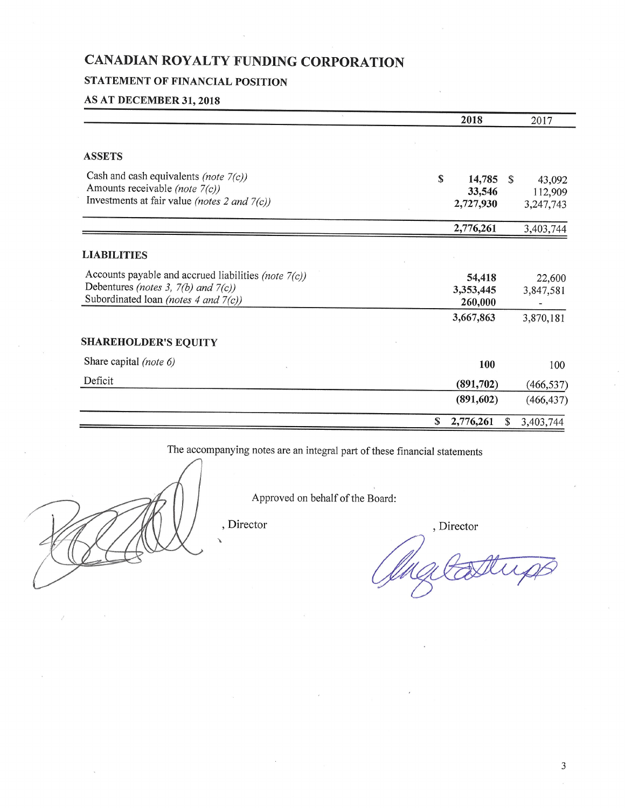## STATEMENT OF FINANCIAL POSITION

## AS AT DECEMBER 31, 2018

|                                                         | 2018                  |    | 2017       |
|---------------------------------------------------------|-----------------------|----|------------|
|                                                         |                       |    |            |
| <b>ASSETS</b>                                           |                       |    |            |
| Cash and cash equivalents (note $7(c)$ )                | $\mathbf S$<br>14,785 | -S | 43,092     |
| Amounts receivable (note $7(c)$ )                       | 33,546                |    | 112,909    |
| Investments at fair value (notes 2 and $7(c)$ )         | 2,727,930             |    | 3,247,743  |
|                                                         | 2,776,261             |    | 3,403,744  |
| <b>LIABILITIES</b>                                      |                       |    |            |
| Accounts payable and accrued liabilities (note $7(c)$ ) | 54,418                |    | 22,600     |
| Debentures (notes 3, $7(b)$ and $7(c)$ )                | 3,353,445             |    | 3,847,581  |
| Subordinated loan (notes 4 and $7(c)$ )                 | 260,000               |    |            |
|                                                         | 3,667,863             |    | 3,870,181  |
| <b>SHAREHOLDER'S EQUITY</b>                             |                       |    |            |
| Share capital (note 6)                                  | 100                   |    | 100        |
| Deficit                                                 | (891,702)             |    | (466, 537) |
|                                                         | (891, 602)            |    | (466, 437) |
|                                                         | S<br>2,776,261        | \$ | 3,403,744  |

The accompanying notes are an integral part of these financial statements

Approved on behalf of the Board:

, Director , Director , Director , Director , Director , Director , Director ,  $\overline{D}$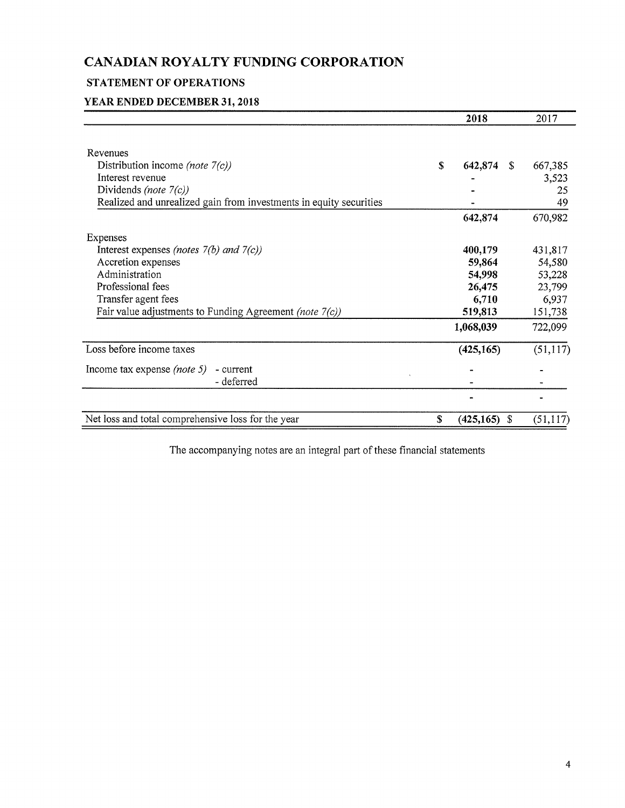## STATEMENT OF OPERATIONS

#### YEAR ENDED DECEMBER 31, 2018

|                                                                    | 2018                          | 2017      |
|--------------------------------------------------------------------|-------------------------------|-----------|
|                                                                    |                               |           |
| Revenues                                                           |                               |           |
| Distribution income (note $7(c)$ )                                 | \$<br>642,874<br><sup>S</sup> | 667,385   |
| Interest revenue                                                   |                               | 3,523     |
| Dividends (note 7(c))                                              |                               | 25        |
| Realized and unrealized gain from investments in equity securities |                               | 49        |
|                                                                    | 642,874                       | 670,982   |
| Expenses                                                           |                               |           |
| Interest expenses (notes $7(b)$ and $7(c)$ )                       | 400,179                       | 431,817   |
| Accretion expenses                                                 | 59,864                        | 54,580    |
| Administration                                                     | 54,998                        | 53,228    |
| Professional fees                                                  | 26,475                        | 23,799    |
| Transfer agent fees                                                | 6,710                         | 6,937     |
| Fair value adjustments to Funding Agreement (note $7(c)$ )         | 519,813                       | 151,738   |
|                                                                    | 1,068,039                     | 722,099   |
| Loss before income taxes                                           | (425, 165)                    | (51, 117) |
| Income tax expense (note 5)<br>- current                           |                               |           |
| - deferred                                                         |                               |           |
|                                                                    |                               |           |
| Net loss and total comprehensive loss for the year                 | \$<br>\$<br>(425, 165)        | (51, 117) |

The accompanying notes are an integral part of these financial statements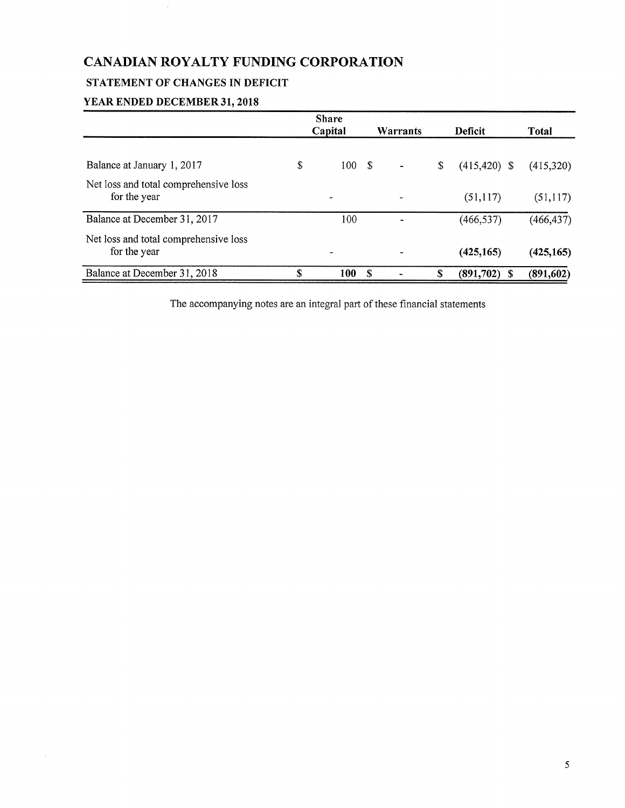## STATEMENT OF CHANGES IN DEFICIT

#### YEAR ENDED DECEMBER 31, 2018

 $\bar{\gamma}$ 

|                                                       |    | <b>Share</b><br>Capital |      | Warrants       | <b>Deficit</b>        | Total      |
|-------------------------------------------------------|----|-------------------------|------|----------------|-----------------------|------------|
|                                                       |    |                         |      |                |                       |            |
| Balance at January 1, 2017                            | \$ | 100                     | - \$ | $\overline{a}$ | \$<br>$(415, 420)$ \$ | (415,320)  |
| Net loss and total comprehensive loss<br>for the year |    |                         |      | $\blacksquare$ | (51, 117)             | (51, 117)  |
| Balance at December 31, 2017                          |    | 100                     |      |                | (466, 537)            | (466, 437) |
| Net loss and total comprehensive loss<br>for the year |    |                         |      |                | (425, 165)            | (425, 165) |
| Balance at December 31, 2018                          | S  | 100                     | - \$ | $\blacksquare$ | \$<br>(891,702)       | (891, 602) |

The accompanying notes are an integral part of these financial statements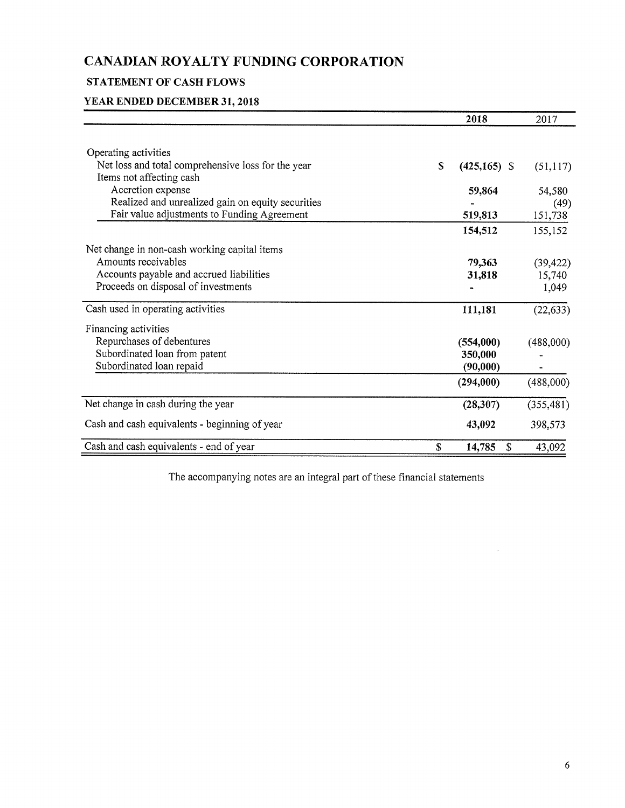## STATEMENT OF CASH FLOWS

#### YEAR ENDED DECEMBER 31, 2018

|                                                    | 2018                 | 2017       |
|----------------------------------------------------|----------------------|------------|
|                                                    |                      |            |
| Operating activities                               |                      |            |
| Net loss and total comprehensive loss for the year | \$<br>$(425,165)$ \$ | (51, 117)  |
| Items not affecting cash                           |                      |            |
| Accretion expense                                  | 59,864               | 54,580     |
| Realized and unrealized gain on equity securities  |                      | (49)       |
| Fair value adjustments to Funding Agreement        | 519,813              | 151,738    |
|                                                    | 154,512              | 155,152    |
| Net change in non-cash working capital items       |                      |            |
| Amounts receivables                                | 79,363               | (39, 422)  |
| Accounts payable and accrued liabilities           | 31,818               | 15,740     |
| Proceeds on disposal of investments                |                      | 1,049      |
| Cash used in operating activities                  | 111,181              | (22, 633)  |
| Financing activities                               |                      |            |
| Repurchases of debentures                          | (554,000)            | (488,000)  |
| Subordinated loan from patent                      | 350,000              |            |
| Subordinated loan repaid                           | (90,000)             |            |
|                                                    | (294,000)            | (488,000)  |
| Net change in cash during the year                 | (28, 307)            | (355, 481) |
| Cash and cash equivalents - beginning of year      | 43,092               | 398,573    |
| Cash and cash equivalents - end of year            | \$<br>14,785<br>\$   | 43,092     |

The accompanying notes are an integral part of these financial statements

 $\hat{\mathcal{S}}$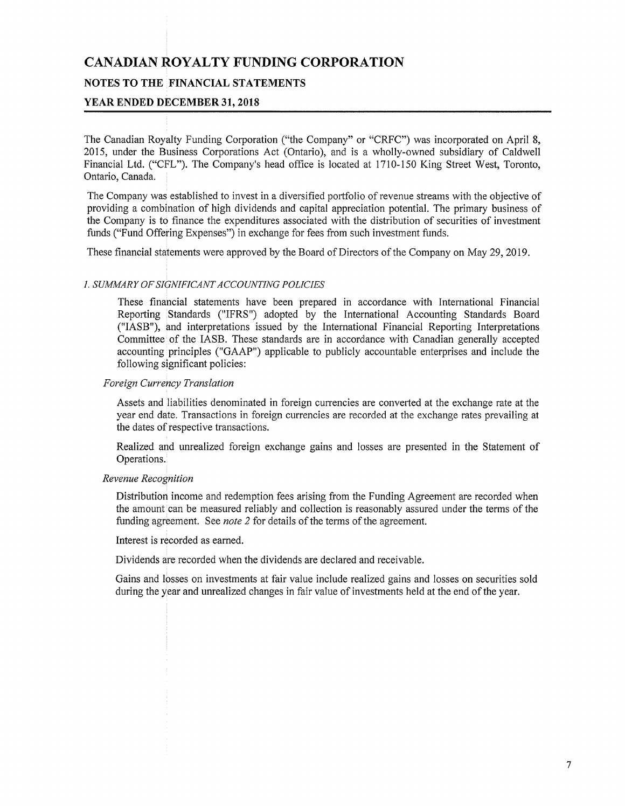#### NOTES TO THE FINANCIAL STATEMENTS

#### YEAR ENDED DECEMBER 31, 2018

The Canadian Royalty Funding Corporation ("the Company" or "CRFC") was incorporated on April 8, 2015, under the Business Corporations Act (Ontario), and is <sup>a</sup> wholly-owned subsidiary of Caldwell Financial Ltd. ("CFL"). The Company's head office is located at 1710-150 King Street West, Toronto, Ontario, Canada.

The Company was established to invest in <sup>a</sup> diversified portfolio of revenue streams with the objective of providing <sup>a</sup> combination of high dividends and capital appreciation potential. The primary business of the Company is to finance the expenditures associated with the distribution of securities of investment funds ("Fund Offering Expenses") in exchange for fees from such investment funds.

These financial statements were approved by the Board of Directors of the Company on May 29, 2019.

#### I. SUMMARY OF SIGNIFICANTACCOUNTING POLICIES

These financial statements have been prepared in accordance with International Financial Reporting Standards ("IFRS") adopted by the International Accounting Standards Board ("IASB"), and interpretations issued by the International Financial Reporting Interpretations Committee of the IASB. These standards are in accordance with Canadian generally accepted accounting principles ("GAAP") applicable to publicly accountable enterprises and include the following significant policies:

#### Foreign Currency Translation

Assets and liabilities denominated in foreign currencies are converted at the exchange rate at the year end date. Transactions in foreign currencies are recorded at the exchange rates prevailing at the dates of respective transactions.

Realized and unrealized foreign exchange gains and losses are presented in the Statement of Operations.

#### Revenue Recognition

Distribution income and redemption fees arising from the Funding Agreement are recorded when the amount can be measured reliably and collection is reasonably assured under the terms of the funding agreement. See note 2 for details of the terms of the agreement.

Interest is recorded as earned.

Dividends are recorded when the dividends are declared and receivable.

Gains and losses on investments at fair value include realized gains and losses on securities sold during the year and unrealized changes in fair value of investments held at the end of the year.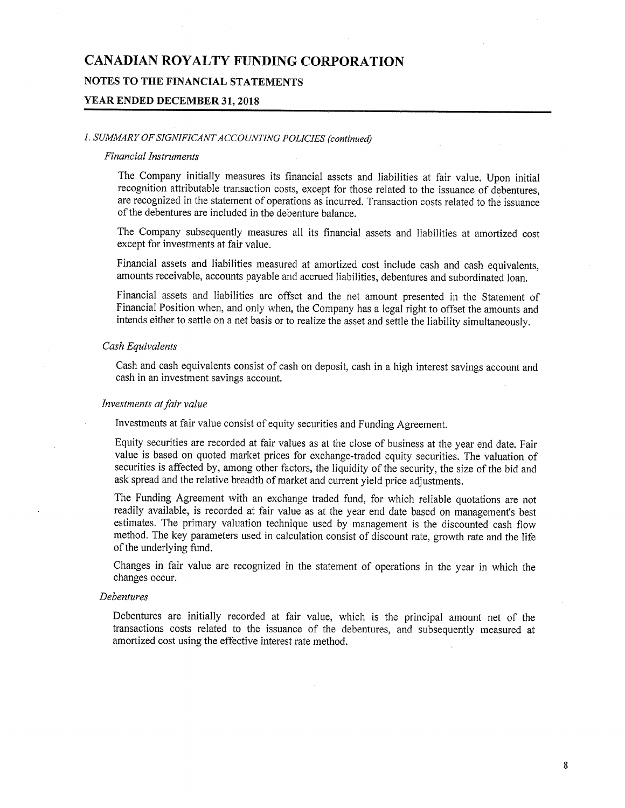#### NOTES TO THE FINANCIAL STATEMENTS

#### YEAR ENDED DECEMBER 31, 2018

#### 1. SUMMARY OFSIGNIFICANTACCOUNTING POLICIES (continued)

#### Financial Instruments

The Company initially measures its financial assets and liabilities at fair value. Upon initial recognition attributable transaction costs, except for those related to the issuance of debentures, are recognized in the statement of operations as incurred. Transaction costs related to the issuance of the debentures are included in the debenture balance.

The Company subsequently measures all its financial assets and liabilities at amortized cost except for investments at fair value.

Financial assets and liabilities measured at amortized cost include cash and cash equivalents, amounts receivable, accounts payable and accrued liabilities, debentures and subordinated loan.

Financial assets and liabilities are offset and the net amount presented in the Statement of Financial Position when, and only when, the Company has a legal right to offset the amounts and intends either to settle on a net basis or to realize the asset and settle the liability simultaneously.

#### Cash Equivalents

Cash and cash equivalents consist of cash on deposit, cash in <sup>a</sup> high interest savings account and cash in an investment savings account.

#### Investments at fair value

Investments at fair value consist of equity securities and Funding Agreement.

Equity securities are recorded at fair values as at the close of business at the year end date. Fair value is based on quoted market prices for exchange-traded equity securities. The valuation of securities is affected by, among other factors, the liquidity of the security, the size of the bid and ask spread and the relative breadth of market and current yield price adjustments.

The Funding Agreement with an exchange traded fund, for which reliable quotations are not readily available, is recorded at fair value as at the year end date based on management's best estimates. The primary valuation technique used by management is the discounted cash flow method. The key parameters used in calculation consist of discount rate, growth rate and the life of the underlying fund.

Changes in fair value are recognized in the statement of operations in the year in which the changes occur.

#### Debentures

Debentures are initially recorded at fair value, which is the principal amount net of the transactions costs related to the issuance of the debentures, and subsequently measured at amortized cost using the effective interest rate method.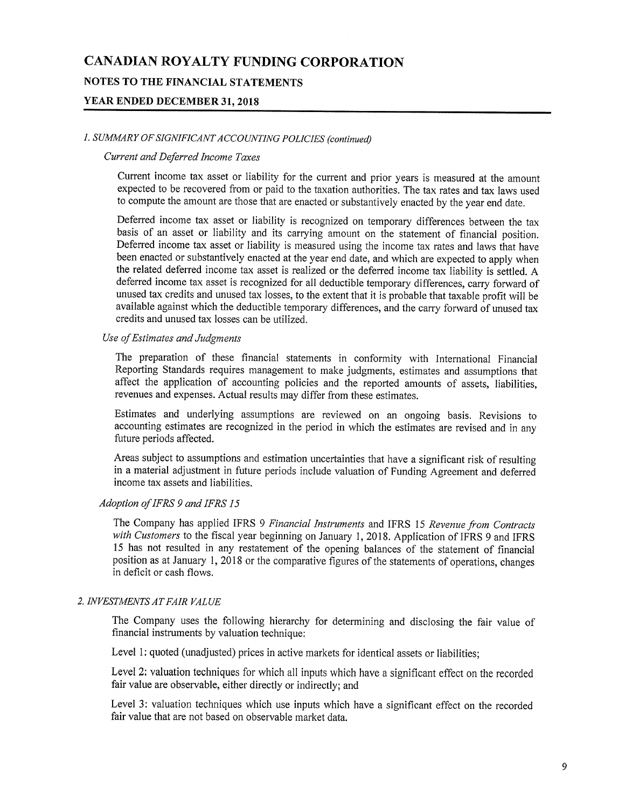#### NOTES TO THE FINANCIAL STATEMENTS

#### YEAR ENDED DECEMBER 31, 2018

#### 1. SUMMARY OF SIGNIFICANTA CCOUNTING POLICIES (continued)

#### Current and Deferred Income Taxes

Current income tax asset or liability for the current and prior years is measured at the amount expected to be recovered from or paid to the taxation authorities. The tax rates and tax laws used to compute the amount are those that are enacted or substantively enacted by the year end date.

Deferred income tax asset or liability is recognized on temporary differences between the tax basis of an asset or liability and its carrying amount on the statement of financial position. Deferred income tax asset or liability is measured using the income tax rates and laws that have been enacted or substantively enacted at the year end date, and which are expected to apply when the related deferred income tax asset is realized or the deferred income tax liability is settled. A deferred income tax asset is recognized for all deductible temporary differences, carry forward of unused tax credits and unused tax losses, to the extent that it is probable that taxable profit will be available against which the deductible temporary differences, and the carry forward of unused tax credits and unused tax losses can be utilized.

#### Use of Estimates and Judgments

The preparation of these financial statements in conformity with International Financial Reporting Standards requires management to make judgments, estimates and assumptions that affect the application of accounting policies and the reported amounts of assets, liabilities, revenues and expenses. Actual results may differ from these estimates.

Estimates and underlying assumptions are reviewed on an ongoing basis. Revisions to accounting estimates are recognized in the period in which the estimates are revised and in any future periods affected.

Areas subject to assumptions and estimation uncertainties that have <sup>a</sup> significant risk of resulting in <sup>a</sup> material adjustment in future periods include valuation of Funding Agreement and deferred income tax assets and liabilities.

#### Adoption of IFRS 9 and IFRS 15

The Company has applied IFRS 9 Financial Instruments and IFRS 15 Revenue from Contracts with Customers to the fiscal year beginning on January 1, 2018. Application of IFRS 9 and IFRS <sup>15</sup> has not resulted in any restatement of the opening balances of the statement of financial position as at January 1, 2018 or the comparative figures of the statements of operations, changes in deficit or cash flows.

#### 2. INVESTMENTSATFAIR VALUE

The Company uses the following hierarchy for determining and disclosing the fair value of financial instruments by valuation technique:

Level 1: quoted (unadjusted) prices in active markets for identical assets or liabilities;

Level 2: valuation techniques for which all inputs which have a significant effect on the recorded fair value are observable, either directly or indirectly; and

Level 3: valuation techniques which use inputs which have a significant effect on the recorded fair value that are not based on observable market data.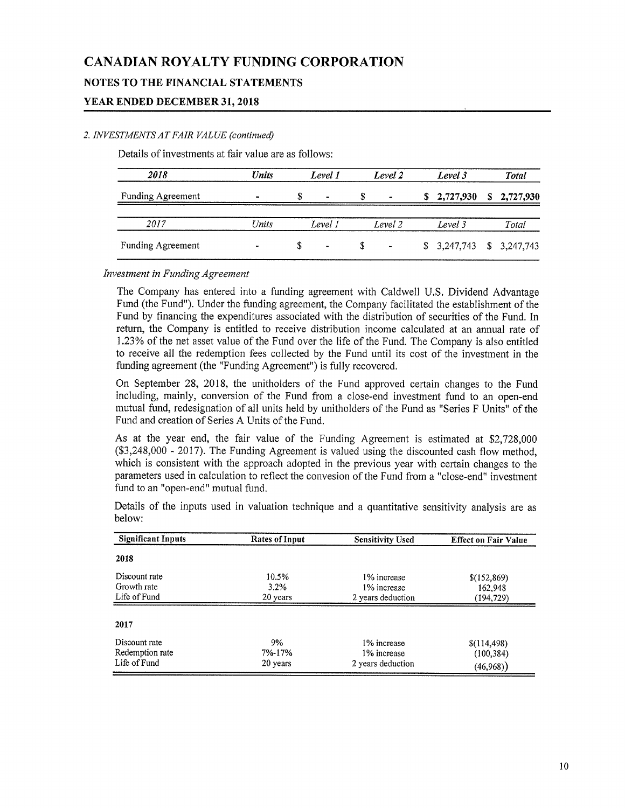#### NOTES TO THE FINANCIAL STATEMENTS

#### YEAR ENDED DECEMBER 31, 2018

#### 2. INVESTMENTS AT FAIR VALUE (continued)

Details of investments at fair value are as follows:

| 2018                     | Units     |   | Level 1        |    | Level 2        | Level 3                   | <b>Total</b> |
|--------------------------|-----------|---|----------------|----|----------------|---------------------------|--------------|
| Funding Agreement        | $\bullet$ | S | $\blacksquare$ | -S | $\blacksquare$ | \$2,727,930               | \$2,727,930  |
| 2017                     | Units     |   | Level 1        |    | Level 2        | Level 3                   | Total        |
| <b>Funding Agreement</b> |           | S | $\blacksquare$ | S. | $\blacksquare$ | $$3,247,743$ $$3,247,743$ |              |

#### Investment in Funding Agreement

The Company has entered into a funding agreement with Caidwell U.S. Dividend Advantage Fund (the Fund"). Under the funding agreement, the Company facilitated the establishment of the Fund by financing the expenditures associated with the distribution of securities of the Fund. In return, the Company is entitled to receive distribution income calculated at an annual rate of 1.23% of the net asset value of the Fund over the life of the Fund. The Company is also entitled to receive all the redemption fees collected by the Fund until its cost of the investment in the funding agreement (the "Funding Agreement") is fully recovered.

On September 28, 2018, the unitholders of the Fund approved certain changes to the Fund including, mainly, conversion of the Fund from <sup>a</sup> close-end investment fund to an open-end mutual fund, redesignation of all units held by unitholders of the Fund as "Series F Units" of the Fund and creation of Series A Units of the Fund.

As at the year end, the fair value of the Funding Agreement is estimated at \$2,728,000 (\$3,248,000 - 2017). The Funding Agreement is valued using the discounted cash flow method, which is consistent with the approach adopted in the previous year with certain changes to the parameters used in calculation to reflect the convesion of the Fund from <sup>a</sup> "close-end" investment fund to an "open-end" mutual fund.

| <b>Significant Inputs</b>                        | Rates of Input               | <b>Sensitivity Used</b>                         | <b>Effect on Fair Value</b>           |
|--------------------------------------------------|------------------------------|-------------------------------------------------|---------------------------------------|
| 2018                                             |                              |                                                 |                                       |
| Discount rate<br>Growth rate<br>Life of Fund     | 10.5%<br>$3.2\%$<br>20 years | 1% increase<br>1% increase<br>2 years deduction | \$(152,869)<br>162,948<br>(194, 729)  |
| 2017                                             |                              |                                                 |                                       |
| Discount rate<br>Redemption rate<br>Life of Fund | 9%<br>7%-17%<br>20 years     | 1% increase<br>1% increase<br>2 years deduction | \$(114,498)<br>(100, 384)<br>(46,968) |

Details of the inputs used in valuation technique and <sup>a</sup> quantitative sensitivity analysis are as below: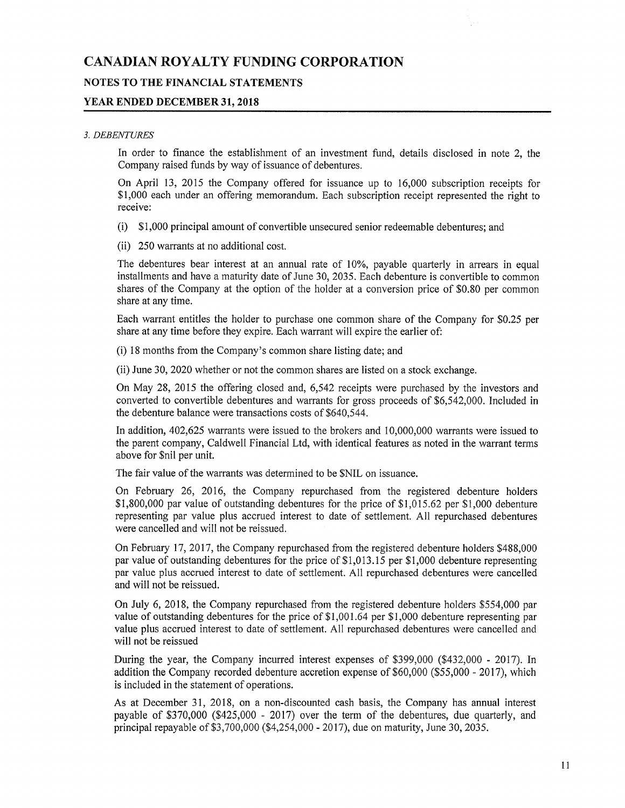#### NOTES TO THE FINANCIAL STATEMENTS

#### YEAR ENDED DECEMBER 31, 2018

#### 3. DEBENTURES

In order to finance the establishment of an investment fund, details disclosed in note 2, the Company raised funds by way of issuance of debentures.

On April 13, 2015 the Company offered for issuance up to 16,000 subscription receipts for \$1,000 each under an offering memorandum. Each subscription receipt represented the right to receive:

- (i) \$1,000 principal amount of convertible unsecured senior redeemable debentures; and
- (ii) 250 warrants at no additional cost.

The debentures bear interest at an annual rate of 10%, payable quarterly in arrears in equal installments and have a maturity date of June 30, 2035. Each debenture is convertible to common shares of the Company at the option of the holder at <sup>a</sup> conversion price of \$0.80 per common share at any time.

Each warrant entitles the holder to purchase one common share of the Company for \$0.25 per share at any time before they expire. Each warrant will expire the earlier of:

(i) 18 months from the Company's common share listing date; and

(ii) June 30, 2020 whether or not the common shares are listed on a stock exchange.

On May 28, 2015 the offering closed and, 6,542 receipts were purchased by the investors and converted to convertible debentures and warrants for gross proceeds of \$6,542,000. Included in the debenture balance were transactions costs of \$640,544.

In addition, 402,625 warrants were issued to the brokers and 10,000,000 warrants were issued to the parent company, Caldwell Financial Ltd, with identical features as noted in the warrant terms above for \$nil per unit.

The fair value of the warrants was determined to be \$NIL on issuance.

On February 26, 2016, the Company repurchased from the registered debenture holders \$1,800,000 par value of outstanding debentures for the price of \$1,015.62 per \$1,000 debenture representing par value plus accrued interest to date of settlement. All repurchased debentures were cancelled and will not be reissued.

On February 17, 2017, the Company repurchased from the registered debenture holders \$488,000 par value of outstanding debentures for the price of \$1,013.15 per \$1,000 debenture representing par value plus accrued interest to date of settlement. All repurchased debentures were cancelled and will not be reissued.

On July 6, 2018, the Company repurchased from the registered debenture holders \$554,000 par value of outstanding debentures for the price of \$1,001.64 per \$1,000 debenture representing par value plus accrued interest to date of settlement. All repurchased debentures were cancelled and will not be reissued

During the year, the Company incurred interest expenses of \$399,000 (\$432,000 - 2017). In addition the Company recorded debenture accretion expense of \$60,000 (\$55,000 - 2017), which is included in the statement of operations.

As at December 31, 2018, on a non-discounted cash basis, the Company has annual interest payable of \$370,000 (\$425,000 - 2017) over the term of the debentures, due quarterly, and principal repayable of \$3,700,000 (\$4,254,000 - 2017), due on maturity, June 30, 2035.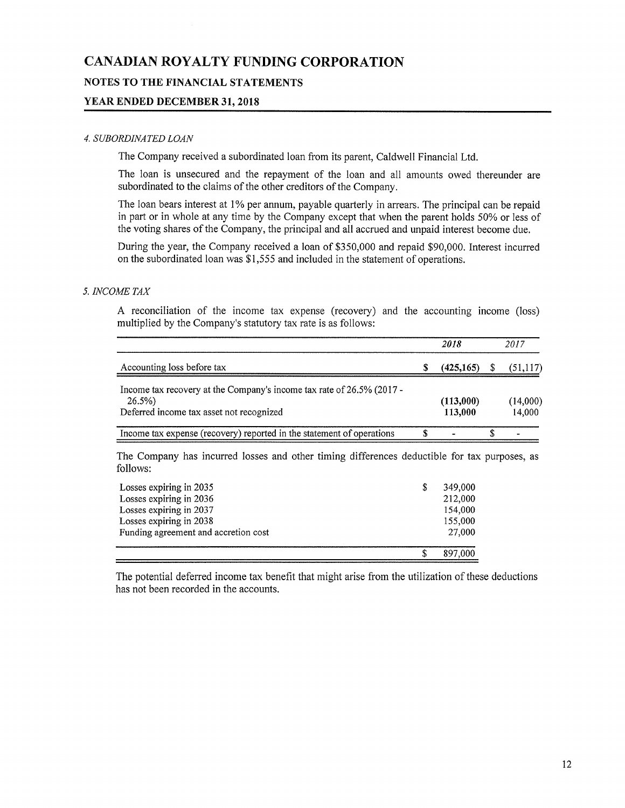#### NOTES TO THE FINANCIAL STATEMENTS

#### YEAR ENDED DECEMBER 31, 2018

#### 4. SUBORDINATED LOAN

The Company received a subordinated loan from its parent, Caidwell Financial Ltd.

The loan is unsecured and the repayment of the loan and all amounts owed thereunder are subordinated to the claims of the other creditors of the Company.

The loan bears interest at 1% per annum, payable quarterly in arrears. The principal can be repaid in part or in whole at any time by the Company except that when the parent holds 50% or less of the voting shares of the Company, the principal and all accrued and unpaid interest become due.

During the year, the Company received <sup>a</sup> loan of \$350,000 and repaid \$90,000. Interest incurred on the subordinated loan was \$1,555 and included in the statement of operations.

#### 5, INCOME TAX

A reconciliation of the income tax expense (recovery) and the accounting income (loss) multiplied by the Company's statutory tax rate is as follows:

|                                                                                                                               |   | 2018                 |    | 2017               |
|-------------------------------------------------------------------------------------------------------------------------------|---|----------------------|----|--------------------|
| Accounting loss before tax                                                                                                    | S | (425, 165)           | S  | (51, 117)          |
| Income tax recovery at the Company's income tax rate of 26.5% (2017 -<br>$26.5\%$<br>Deferred income tax asset not recognized |   | (113,000)<br>113,000 |    | (14,000)<br>14,000 |
| Income tax expense (recovery) reported in the statement of operations                                                         | S |                      | S. |                    |

The Company has incurred losses and other timing differences deductible for tax purposes, as follows:

| Losses expiring in 2035<br>Losses expiring in 2036 | \$<br>349,000<br>212,000 |
|----------------------------------------------------|--------------------------|
| Losses expiring in 2037                            | 154,000                  |
| Losses expiring in 2038                            | 155,000                  |
| Funding agreement and accretion cost               | 27,000                   |
|                                                    | 897,000                  |

The potential deferred income tax benefit that might arise from the utilization of these deductions has not been recorded in the accounts.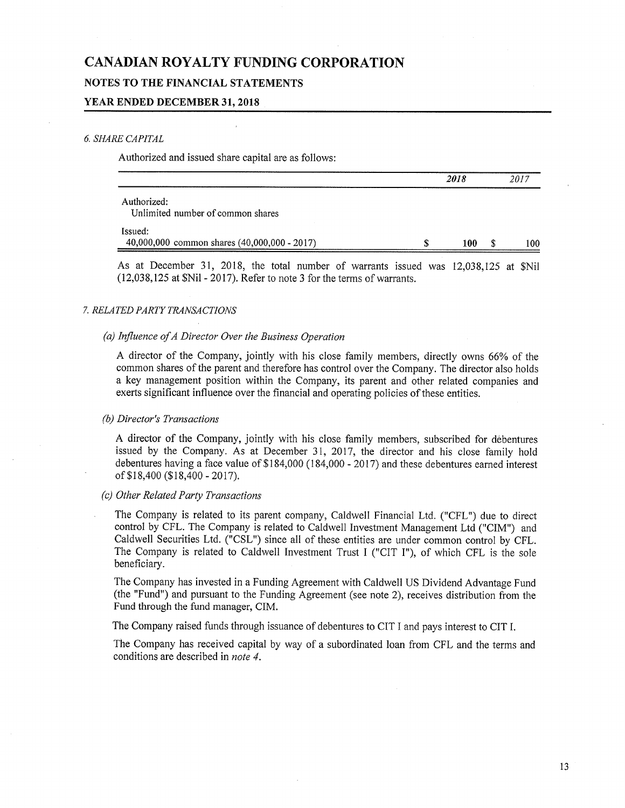#### NOTES TO THE FINANCIAL STATEMENTS

#### YEAR ENDED DECEMBER 31, 2018

#### 6. SHARE CAPITAL

Authorized and issued share capital are as follows:

|                                                         | 2018 | 2017 |
|---------------------------------------------------------|------|------|
| Authorized:<br>Unlimited number of common shares        |      |      |
| Issued:<br>40,000,000 common shares (40,000,000 - 2017) | 100  | 100. |

As at December 31, 2018, the total number of warrants issued was 12,038,125 at \$Nil (12,038,125 at \$Nil - 2017). Refer to note <sup>3</sup> for the terms of warrants.

#### 7. RELA TED PARTY TRANSACTIONS

#### (a) Influence of A Director Over the Business Operation

A director of the Company, jointly with his close family members, directly owns 66% of the common shares of the parent and therefore has control over the Company. The director also holds a key management position within the Company, its parent and other related companies and exerts significant influence over the financial and operating policies of these entities.

#### (b) Director's Transactions

A director of the Company, jointly with his close family members, subscribed for debentures issued by the Company. As at December 31, 2017, the director and his close family hold debentures having <sup>a</sup> face value of \$184,000 (184,000 - 2017) and these debentures earned interest of \$18,400 (\$18,400 -2017).

#### (c) Other Related Party Transactions

The Company is related to its parent company, Caidwell Financial Ltd. ("CFL") due to direct control by CFL. The Company is related to Caldwell Investment Management Ltd ("CIM") and Caidwell Securities Ltd. ("CSL") since all of these entities are under common control by CFL. The Company is related to Caidwell Investment Trust I ("CIT I"), of which CFL is the sole beneficiary.

The Company has invested in a Funding Agreement with CaIdwell US Dividend Advantage Fund (the "Fund") and pursuant to the Funding Agreement (see note 2), receives distribution from the Fund through the fund manager, CIM.

The Company raised funds through issuance of debentures to CIT I and pays interest to CIT I.

The Company has received capital by way of <sup>a</sup> subordinated loan from CFL and the terms and conditions are described in note 4.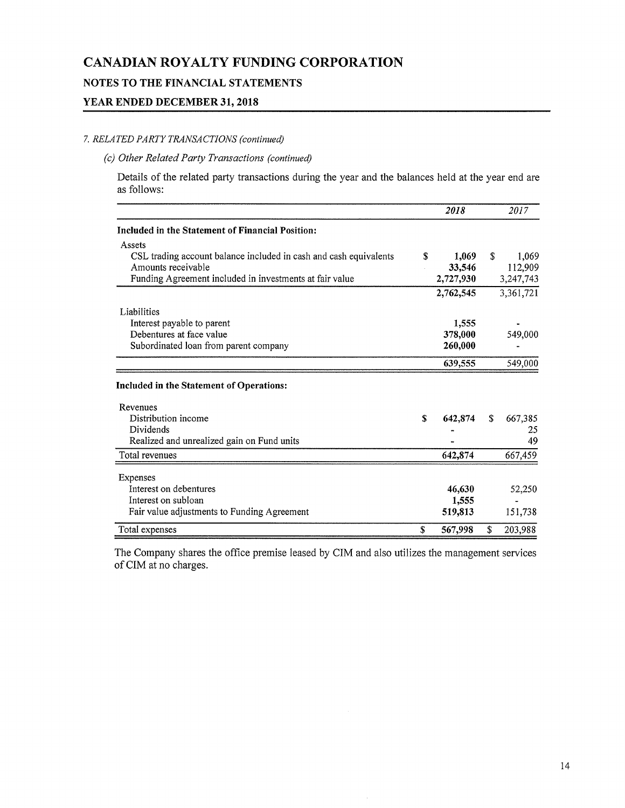#### NOTES TO THE FINANCIAL STATEMENTS

#### YEAR ENDED DECEMBER 31, 2018

#### 7. RELATED PARTY TRANSACTIONS (continued)

#### (c) Other Related Parry Transactions (continued)

Details of the related party transactions during the year and the balances held at the year end are as follows:

|                                                                   |    | <i>2018</i> | 2017          |
|-------------------------------------------------------------------|----|-------------|---------------|
| Included in the Statement of Financial Position:                  |    |             |               |
| Assets                                                            |    |             |               |
| CSL trading account balance included in cash and cash equivalents | S  | 1,069       | \$<br>1,069   |
| Amounts receivable                                                |    | 33,546      | 112,909       |
| Funding Agreement included in investments at fair value           |    | 2,727,930   | 3,247,743     |
|                                                                   |    | 2,762,545   | 3,361,721     |
| Liabilities                                                       |    |             |               |
| Interest payable to parent                                        |    | 1,555       |               |
| Debentures at face value                                          |    | 378,000     | 549,000       |
| Subordinated loan from parent company                             |    | 260,000     |               |
|                                                                   |    | 639,555     | 549,000       |
| Included in the Statement of Operations:                          |    |             |               |
| Revenues                                                          |    |             |               |
| Distribution income                                               | S  | 642,874     | \$<br>667,385 |
| Dividends                                                         |    |             | 25            |
| Realized and unrealized gain on Fund units                        |    |             | 49            |
| Total revenues                                                    |    | 642,874     | 667,459       |
| Expenses                                                          |    |             |               |
| Interest on debentures                                            |    | 46,630      | 52,250        |
| Interest on subloan                                               |    | 1,555       |               |
| Fair value adjustments to Funding Agreement                       |    | 519,813     | 151,738       |
| Total expenses                                                    | \$ | 567,998     | \$<br>203,988 |

The Company shares the office premise leased by CIM and also utilizes the management services of CIM at no charges.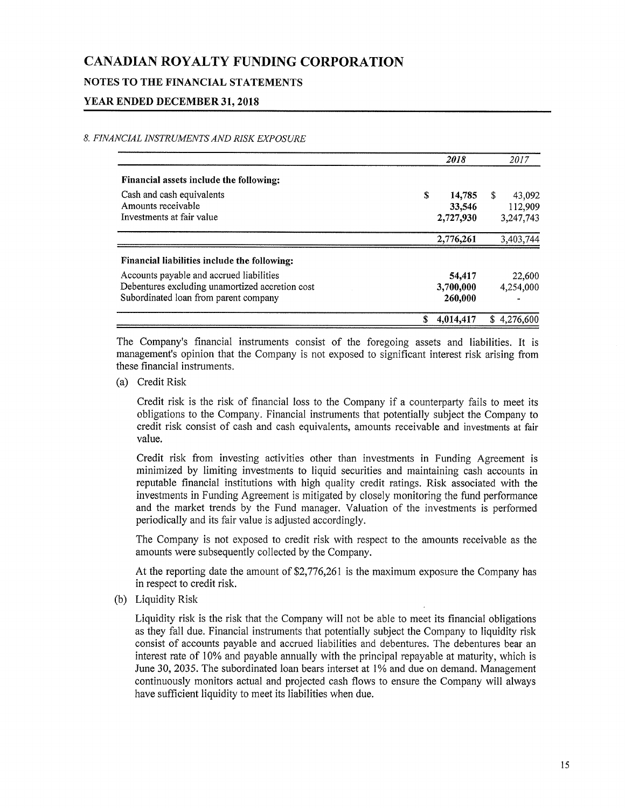#### NOTES TO THE FINANCIAL STATEMENTS

#### YEAR ENDED DECEMBER 31, 2018

#### 8. FINANCIAL INSTRUMENTS AND RISK EXPOSURE

|                                                 |    | 2018      | 2017        |
|-------------------------------------------------|----|-----------|-------------|
| Financial assets include the following:         |    |           |             |
| Cash and cash equivalents                       | S  | 14,785    | S<br>43,092 |
| Amounts receivable                              |    | 33,546    | 112,909     |
| Investments at fair value                       |    | 2,727,930 | 3,247,743   |
|                                                 |    | 2,776,261 | 3,403,744   |
| Financial liabilities include the following:    |    |           |             |
| Accounts payable and accrued liabilities        |    | 54,417    | 22,600      |
| Debentures excluding unamortized accretion cost |    | 3,700,000 | 4,254,000   |
| Subordinated loan from parent company           |    | 260,000   |             |
|                                                 | \$ | 4,014,417 | \$4,276,600 |

The Company's financial instruments consist of the foregoing assets and liabilities. It is management's opinion that the Company is not exposed to significant interest risk arising from these financial instruments.

(a) Credit Risk

Credit risk is the risk of financial loss to the Company if <sup>a</sup> counterparty fails to meet its obligations to the Company. Financial instruments that potentially subject the Company to credit risk consist of cash and cash equivalents, amounts receivable and investments at fair value.

Credit risk from investing activities other than investments in Funding Agreement is minimized by limiting investments to liquid securities and maintaining cash accounts in reputable financial institutions with high quality credit ratings. Risk associated with the investments in Funding Agreement is mitigated by closely monitoring the fund performance and the market trends by the Fund manager. Valuation of the investments is performed periodically and its fair value is adjusted accordingly.

The Company is not exposed to credit risk with respect to the amounts receivable as the amounts were subsequently collected by the Company.

At the reporting date the amount of \$2,776,261 is the maximum exposure the Company has in respect to credit risk.

(b) Liquidity Risk

Liquidity risk is the risk that the Company will not be able to meet its financial obligations as they fall due. Financial instruments that potentially subject the Company to liquidity risk consist of accounts payable and accrued liabilities and debentures. The debentures bear an interest rate of 10% and payable annually with the principal repayable at maturity, which is June 30, 2035. The subordinated loan bears interset at 1% and due on demand. Management continuously monitors actual and projected cash flows to ensure the Company will always have sufficient liquidity to meet its liabilities when due.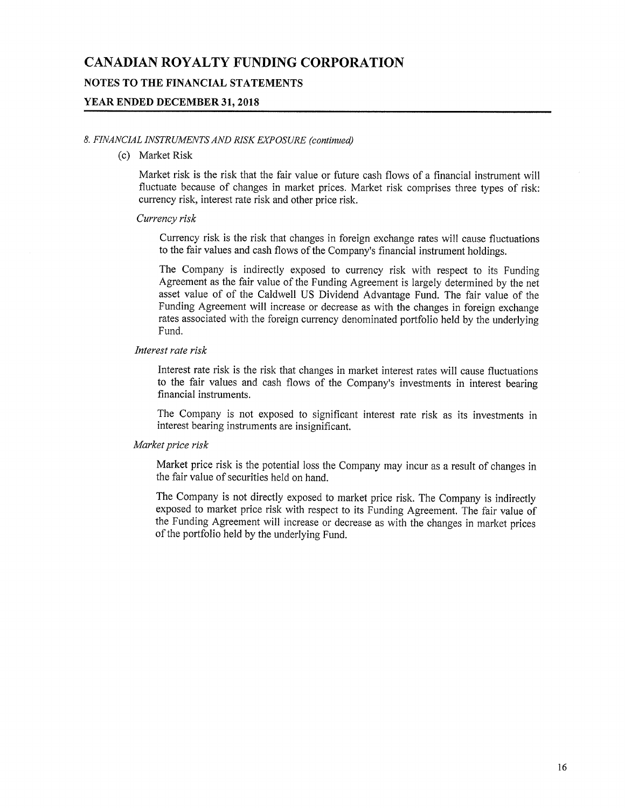#### NOTES TO THE FINANCIAL STATEMENTS

#### YEAR ENDED DECEMBER 31, 2018

#### 8. FINANCIAL INSTRUMENTSAND RISK EXPOSURE (continued)

(c) Market Risk

Market risk is the risk that the fair value or future cash flows of <sup>a</sup> financial instrument will fluctuate because of changes in market prices. Market risk comprises three types of risk: currency risk, interest rate risk and other price risk.

#### Currency risk

Currency risk is the risk that changes in foreign exchange rates will cause fluctuations to the fair values and cash flows of the Company's financial instrument holdings.

The Company is indirectly exposed to currency risk with respect to its Funding Agreement as the fair value of the Funding Agreement is largely determined by the net asset value of of the Caidwell US Dividend Advantage Fund. The fair value of the Funding Agreement will increase or decrease as with the changes in foreign exchange rates associated with the foreign currency denominated portfolio held by the underlying Fund.

#### Interest rate risk

Interest rate risk is the risk that changes in market interest rates will cause fluctuations to the fair values and cash flows of the Company's investments in interest bearing financial instruments.

The Company is not exposed to significant interest rate risk as its investments in interest bearing instruments are insignificant.

#### Market price risk

Market price risk is the potential loss the Company may incur as <sup>a</sup> result of changes in the fair value of securities held on hand.

The Company is not directly exposed to market price risk. The Company is indirectly exposed to market price risk with respect to its Funding Agreement. The fair value of the Funding Agreement will increase or decrease as with the changes in market prices of the portfolio held by the underlying Fund.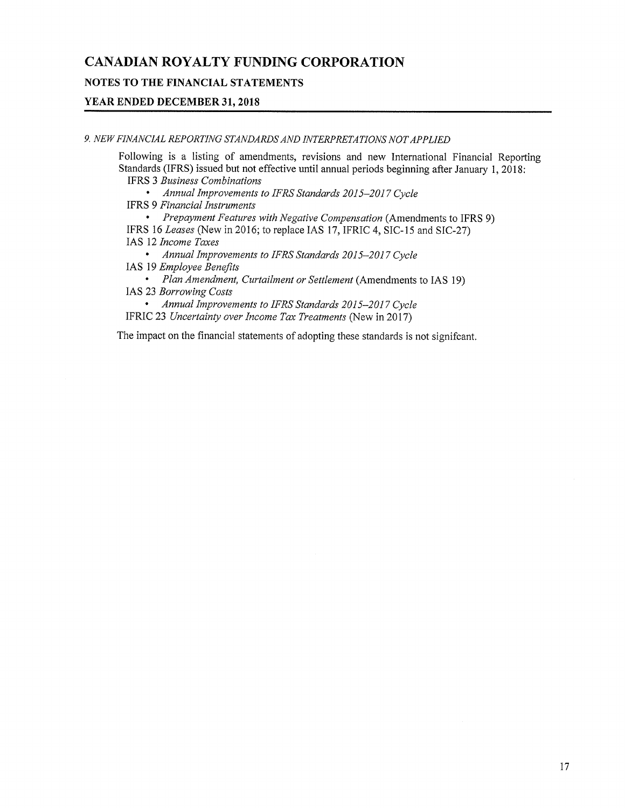#### NOTES TO THE FINANCIAL STATEMENTS

#### YEAR ENDED DECEMBER 31, 2018

#### 9. NEW FINANCIAL REPORTING STANDARDS AND INTERPRETATIONS NOT APPLIED

Following is <sup>a</sup> listing of amendments, revisions and new International Financial Reporting Standards (IFRS) issued but not effective until annual periods beginning after January 1, 2018: IFRS 3 Business Combinations

• Annual Improvements to IFRS Standards 2015—2017 Cycle

IFRS 9 Financial Instruments

• Prepayment Features with Negative Compensation (Amendments to IFRS 9) IFRS 16 Leases (New in 2016; to replace lAS 17, IFRIC 4, SIC-15 and SIC-27) lAS 12 Income Taxes

• Annual Improvements to IFRS Standards 2015—2017 Cycle

lAS 19 Employee Benefits

• Plan Amendment, Curtailment or Settlement (Amendments to IAS 19) lAS 23 Borrowing Costs

• Annual Improvements to IFRS Standards 2015—2017 Cycle IFRIC 23 Uncertainty over Income Tax Treatments (New in 2017)

The impact on the financial statements of adopting these standards is not signifcant.